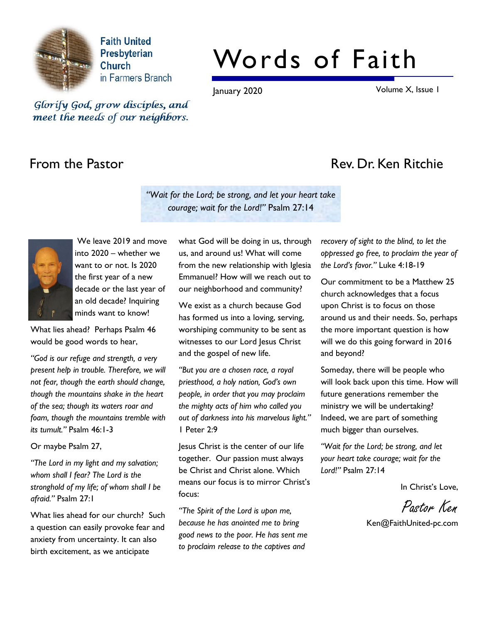

**Faith United** Presbyterian Church in Farmers Branch

# Words of Faith

January 2020 Volume X, Issue 1

Glorify God, grow disciples, and meet the needs of our neighbors.

# From the Pastor **Rev. Dr. Ken Ritchie**

"Wait for the Lord; be strong, and let your heart take courage; wait for the Lord!" Psalm 27:14



 We leave 2019 and move into 2020 – whether we want to or not. Is 2020 the first year of a new decade or the last year of an old decade? Inquiring minds want to know!

What lies ahead? Perhaps Psalm 46 would be good words to hear,

"God is our refuge and strength, a very present help in trouble. Therefore, we will not fear, though the earth should change, though the mountains shake in the heart of the sea; though its waters roar and foam, though the mountains tremble with its tumult." Psalm 46:1-3

Or maybe Psalm 27,

"The Lord in my light and my salvation; whom shall I fear? The Lord is the stronghold of my life; of whom shall I be afraid." Psalm 27:1

What lies ahead for our church? Such a question can easily provoke fear and anxiety from uncertainty. It can also birth excitement, as we anticipate

what God will be doing in us, through us, and around us! What will come from the new relationship with Iglesia Emmanuel? How will we reach out to our neighborhood and community?

We exist as a church because God has formed us into a loving, serving, worshiping community to be sent as witnesses to our Lord Jesus Christ and the gospel of new life.

"But you are a chosen race, a royal priesthood, a holy nation, God's own people, in order that you may proclaim the mighty acts of him who called you out of darkness into his marvelous light." 1 Peter 2:9

Jesus Christ is the center of our life together. Our passion must always be Christ and Christ alone. Which means our focus is to mirror Christ's focus:

"The Spirit of the Lord is upon me, because he has anointed me to bring good news to the poor. He has sent me to proclaim release to the captives and

recovery of sight to the blind, to let the oppressed go free, to proclaim the year of the Lord's favor." Luke 4:18-19

Our commitment to be a Matthew 25 church acknowledges that a focus upon Christ is to focus on those around us and their needs. So, perhaps the more important question is how will we do this going forward in 2016 and beyond?

Someday, there will be people who will look back upon this time. How will future generations remember the ministry we will be undertaking? Indeed, we are part of something much bigger than ourselves.

"Wait for the Lord; be strong, and let your heart take courage; wait for the Lord!" Psalm 27:14

In Christ's Love,

Pastor Ken

Ken@FaithUnited-pc.com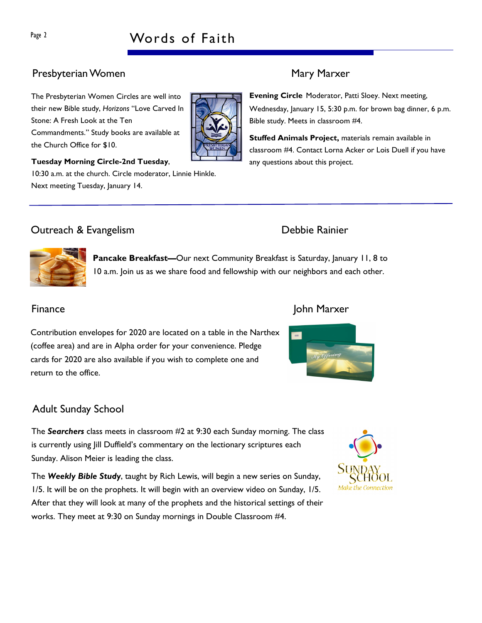# Page 2 Words of Faith

# Presbyterian Women Mary Marxer

The Presbyterian Women Circles are well into their new Bible study, Horizons "Love Carved In Stone: A Fresh Look at the Ten Commandments." Study books are available at the Church Office for \$10.



Tuesday Morning Circle-2nd Tuesday, 10:30 a.m. at the church. Circle moderator, Linnie Hinkle.

Evening Circle Moderator, Patti Sloey. Next meeting, Wednesday, January 15, 5:30 p.m. for brown bag dinner, 6 p.m. Bible study. Meets in classroom #4.

Stuffed Animals Project, materials remain available in classroom #4. Contact Lorna Acker or Lois Duell if you have any questions about this project.

# Outreach & Evangelism Debbie Rainier

Next meeting Tuesday, January 14.



Contribution envelopes for 2020 are located on a table in the Narthex (coffee area) and are in Alpha order for your convenience. Pledge cards for 2020 are also available if you wish to complete one and return to the office.

### Finance John Marxer



### Adult Sunday School

The Searchers class meets in classroom #2 at 9:30 each Sunday morning. The class is currently using Jill Duffield's commentary on the lectionary scriptures each Sunday. Alison Meier is leading the class.

The Weekly Bible Study, taught by Rich Lewis, will begin a new series on Sunday, 1/5. It will be on the prophets. It will begin with an overview video on Sunday, 1/5. After that they will look at many of the prophets and the historical settings of their works. They meet at 9:30 on Sunday mornings in Double Classroom #4.

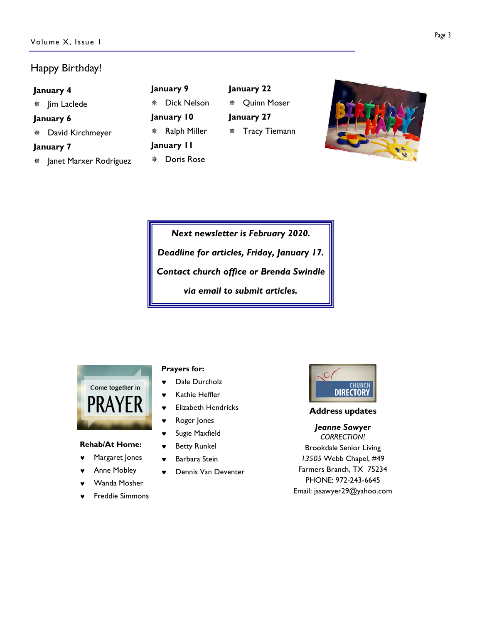### Happy Birthday!

| January 4 | Janu                     |                               |
|-----------|--------------------------|-------------------------------|
|           | * Jim Laclede            | $\overline{\phantom{a}}$<br>* |
| January 6 | Janu                     |                               |
|           | * David Kirchmeyer       | - F<br>*                      |
| January 7 | Janu                     |                               |
|           | * Janet Marxer Rodriguez | I<br>豪                        |
|           |                          |                               |

| January 9  |                |  |  |  |  |  |  |  |
|------------|----------------|--|--|--|--|--|--|--|
|            | ※ Dick Nelson  |  |  |  |  |  |  |  |
| January 10 |                |  |  |  |  |  |  |  |
|            | * Ralph Miller |  |  |  |  |  |  |  |
| January II |                |  |  |  |  |  |  |  |
|            | * Doris Rose   |  |  |  |  |  |  |  |

January 22 Quinn Moser January 27 Tracy Tiemann



Next newsletter is February 2020. Deadline for articles, Friday, January 17. Contact church office or Brenda Swindle via email to submit articles.



#### Rehab/At Home:

- Margaret Jones
- Anne Mobley
- Wanda Mosher
- Freddie Simmons

#### Prayers for:

- ♥ Dale Durcholz
- ♥ Kathie Heffler
- ♥ Elizabeth Hendricks
- ♥ Roger Jones
- Sugie Maxfield
- **Betty Runkel**
- Barbara Stein
- Dennis Van Deventer



#### Address updates

#### Jeanne Sawyer CORRECTION!

Brookdale Senior Living 13505 Webb Chapel, #49 Farmers Branch, TX 75234 PHONE: 972-243-6645 Email: jssawyer29@yahoo.com